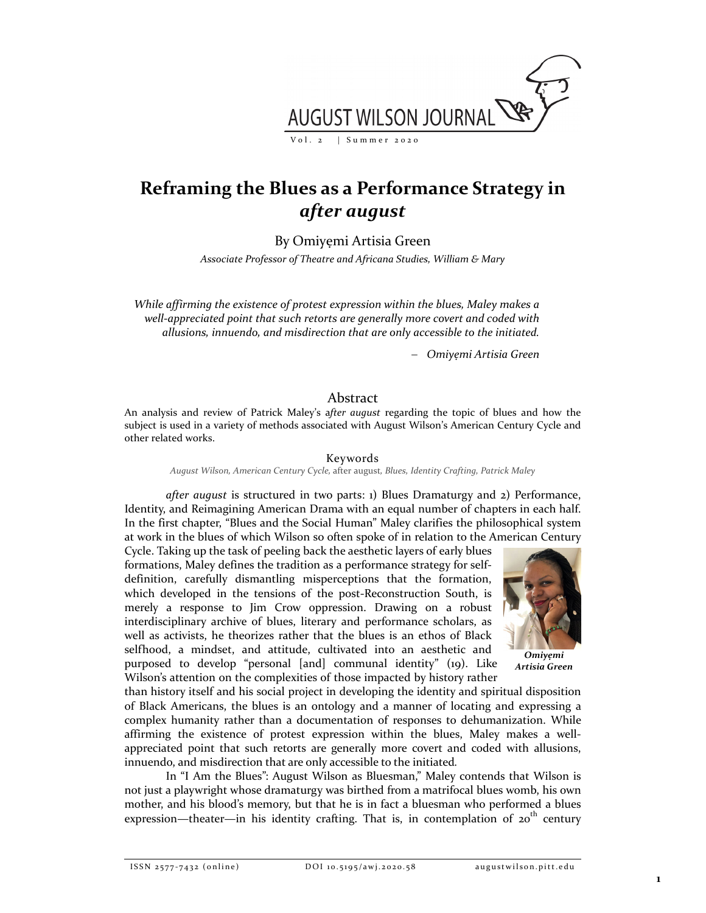

# **Reframing the Blues as a Performance Strategy in** *after august*

By Omiyẹmi Artisia Green

*Associate Professor of Theatre and Africana Studies, William & Mary*

*While affirming the existence of protest expression within the blues, Maley makes a well‐appreciated point that such retorts are generally more covert and coded with allusions, innuendo, and misdirection that are only accessible to the initiated.*

*Omiyẹmi Artisia Green*

# Abstract

An analysis and review of Patrick Maley's a*fter august* regarding the topic of blues and how the subject is used in a variety of methods associated with August Wilson's American Century Cycle and other related works.

#### Keywords

*August Wilson, American Century Cycle,* after august*, Blues, Identity Crafting, Patrick Maley*

*after august* is structured in two parts: 1) Blues Dramaturgy and 2) Performance, Identity, and Reimagining American Drama with an equal number of chapters in each half. In the first chapter, "Blues and the Social Human" Maley clarifies the philosophical system at work in the blues of which Wilson so often spoke of in relation to the American Century

Cycle. Taking up the task of peeling back the aesthetic layers of early blues formations, Maley defines the tradition as a performance strategy for self‐ definition, carefully dismantling misperceptions that the formation, which developed in the tensions of the post-Reconstruction South, is merely a response to Jim Crow oppression. Drawing on a robust interdisciplinary archive of blues, literary and performance scholars, as well as activists, he theorizes rather that the blues is an ethos of Black selfhood, a mindset, and attitude, cultivated into an aesthetic and purposed to develop "personal [and] communal identity" (19). Like Wilson's attention on the complexities of those impacted by history rather



*Omiyẹmi Artisia Green*

than history itself and his social project in developing the identity and spiritual disposition of Black Americans, the blues is an ontology and a manner of locating and expressing a complex humanity rather than a documentation of responses to dehumanization. While affirming the existence of protest expression within the blues, Maley makes a well‐ appreciated point that such retorts are generally more covert and coded with allusions, innuendo, and misdirection that are only accessible to the initiated*.*

In "I Am the Blues": August Wilson as Bluesman," Maley contends that Wilson is not just a playwright whose dramaturgy was birthed from a matrifocal blues womb, his own mother, and his blood's memory, but that he is in fact a bluesman who performed a blues expression—theater—in his identity crafting. That is, in contemplation of  $20^{\text{th}}$  century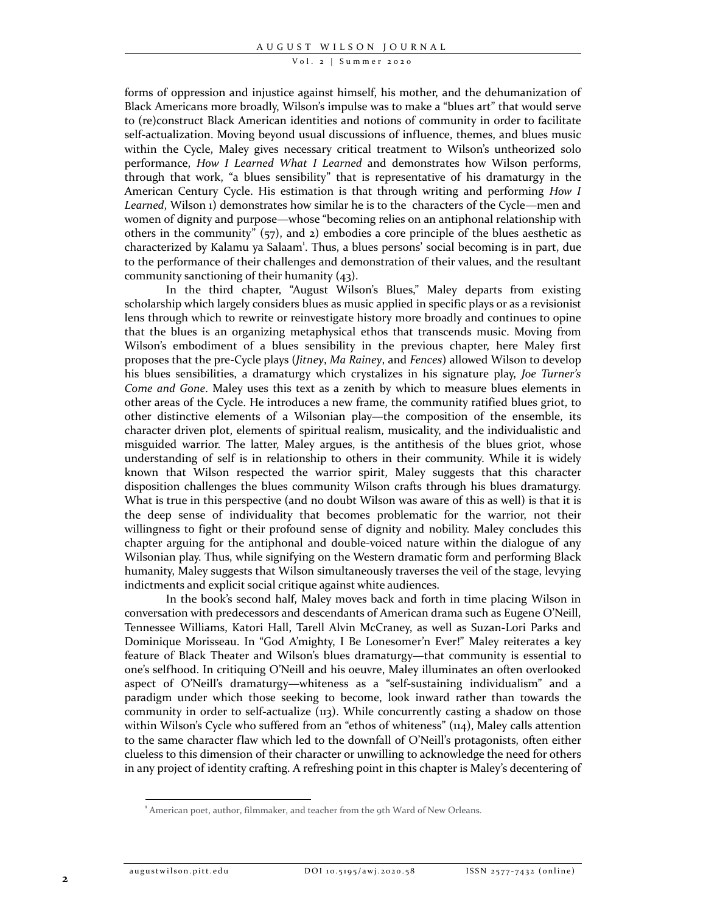Vol. 2 | Summer 2020

forms of oppression and injustice against himself, his mother, and the dehumanization of Black Americans more broadly, Wilson's impulse was to make a "blues art" that would serve to (re)construct Black American identities and notions of community in order to facilitate self‐actualization. Moving beyond usual discussions of influence, themes, and blues music within the Cycle, Maley gives necessary critical treatment to Wilson's untheorized solo performance, *How I Learned What I Learned* and demonstrates how Wilson performs, through that work, "a blues sensibility" that is representative of his dramaturgy in the American Century Cycle. His estimation is that through writing and performing *How I* Learned, Wilson 1) demonstrates how similar he is to the characters of the Cycle—men and women of dignity and purpose—whose "becoming relies on an antiphonal relationship with others in the community"  $(57)$ , and 2) embodies a core principle of the blues aesthetic as characterized by Kalamu ya Salaam<sup>1</sup>. Thus, a blues persons' social becoming is in part, due to the performance of their challenges and demonstration of their values, and the resultant community sanctioning of their humanity (43).

In the third chapter, "August Wilson's Blues," Maley departs from existing scholarship which largely considers blues as music applied in specific plays or as a revisionist lens through which to rewrite or reinvestigate history more broadly and continues to opine that the blues is an organizing metaphysical ethos that transcends music. Moving from Wilson's embodiment of a blues sensibility in the previous chapter, here Maley first proposes that the pre‐Cycle plays (*Jitney*, *Ma Rainey*, and *Fences*) allowed Wilson to develop his blues sensibilities, a dramaturgy which crystalizes in his signature play, *Joe Turner's Come and Gone*. Maley uses this text as a zenith by which to measure blues elements in other areas of the Cycle. He introduces a new frame, the community ratified blues griot, to other distinctive elements of a Wilsonian play—the composition of the ensemble, its character driven plot, elements of spiritual realism, musicality, and the individualistic and misguided warrior. The latter, Maley argues, is the antithesis of the blues griot, whose understanding of self is in relationship to others in their community. While it is widely known that Wilson respected the warrior spirit, Maley suggests that this character disposition challenges the blues community Wilson crafts through his blues dramaturgy. What is true in this perspective (and no doubt Wilson was aware of this as well) is that it is the deep sense of individuality that becomes problematic for the warrior, not their willingness to fight or their profound sense of dignity and nobility. Maley concludes this chapter arguing for the antiphonal and double‐voiced nature within the dialogue of any Wilsonian play. Thus, while signifying on the Western dramatic form and performing Black humanity, Maley suggests that Wilson simultaneously traverses the veil of the stage, levying indictments and explicit social critique against white audiences.

In the book's second half, Maley moves back and forth in time placing Wilson in conversation with predecessors and descendants of American drama such as Eugene O'Neill, Tennessee Williams, Katori Hall, Tarell Alvin McCraney, as well as Suzan‐Lori Parks and Dominique Morisseau. In "God A'mighty, I Be Lonesomer'n Ever!" Maley reiterates a key feature of Black Theater and Wilson's blues dramaturgy—that community is essential to one's selfhood. In critiquing O'Neill and his oeuvre, Maley illuminates an often overlooked aspect of O'Neill's dramaturgy—whiteness as a "self‐sustaining individualism" and a paradigm under which those seeking to become, look inward rather than towards the community in order to self-actualize  $(n3)$ . While concurrently casting a shadow on those within Wilson's Cycle who suffered from an "ethos of whiteness" (114), Maley calls attention to the same character flaw which led to the downfall of O'Neill's protagonists, often either clueless to this dimension of their character or unwilling to acknowledge the need for others in any project of identity crafting. A refreshing point in this chapter is Maley's decentering of

<sup>&</sup>lt;sup>1</sup> American poet, author, filmmaker, and teacher from the 9th Ward of New Orleans.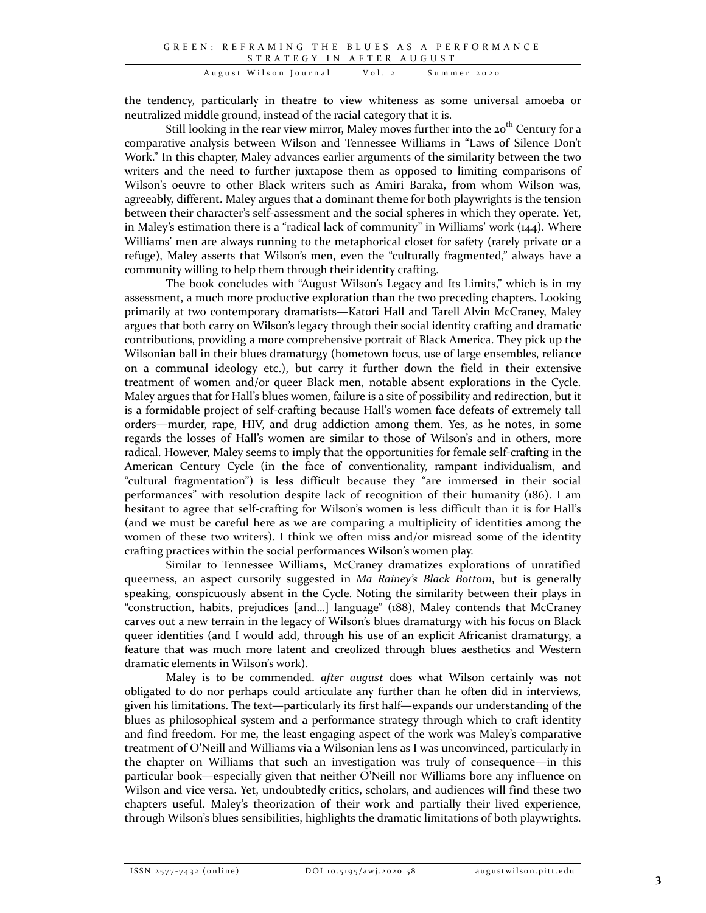August Wilson Journal | Vol. 2 | Summer 2020

the tendency, particularly in theatre to view whiteness as some universal amoeba or neutralized middle ground, instead of the racial category that it is.

Still looking in the rear view mirror, Maley moves further into the 20<sup>th</sup> Century for a comparative analysis between Wilson and Tennessee Williams in "Laws of Silence Don't Work." In this chapter, Maley advances earlier arguments of the similarity between the two writers and the need to further juxtapose them as opposed to limiting comparisons of Wilson's oeuvre to other Black writers such as Amiri Baraka, from whom Wilson was, agreeably, different. Maley argues that a dominant theme for both playwrights is the tension between their character's self‐assessment and the social spheres in which they operate. Yet, in Maley's estimation there is a "radical lack of community" in Williams' work  $(144)$ . Where Williams' men are always running to the metaphorical closet for safety (rarely private or a refuge), Maley asserts that Wilson's men, even the "culturally fragmented," always have a community willing to help them through their identity crafting.

The book concludes with "August Wilson's Legacy and Its Limits," which is in my assessment, a much more productive exploration than the two preceding chapters. Looking primarily at two contemporary dramatists—Katori Hall and Tarell Alvin McCraney, Maley argues that both carry on Wilson's legacy through their social identity crafting and dramatic contributions, providing a more comprehensive portrait of Black America. They pick up the Wilsonian ball in their blues dramaturgy (hometown focus, use of large ensembles, reliance on a communal ideology etc.), but carry it further down the field in their extensive treatment of women and/or queer Black men, notable absent explorations in the Cycle. Maley argues that for Hall's blues women, failure is a site of possibility and redirection, but it is a formidable project of self‐crafting because Hall's women face defeats of extremely tall orders—murder, rape, HIV, and drug addiction among them. Yes, as he notes, in some regards the losses of Hall's women are similar to those of Wilson's and in others, more radical. However, Maley seems to imply that the opportunities for female self‐crafting in the American Century Cycle (in the face of conventionality, rampant individualism, and "cultural fragmentation") is less difficult because they "are immersed in their social performances" with resolution despite lack of recognition of their humanity (186). I am hesitant to agree that self-crafting for Wilson's women is less difficult than it is for Hall's (and we must be careful here as we are comparing a multiplicity of identities among the women of these two writers). I think we often miss and/or misread some of the identity crafting practices within the social performances Wilson's women play.

Similar to Tennessee Williams, McCraney dramatizes explorations of unratified queerness, an aspect cursorily suggested in *Ma Rainey's Black Bottom*, but is generally speaking, conspicuously absent in the Cycle. Noting the similarity between their plays in "construction, habits, prejudices [and…] language" (188), Maley contends that McCraney carves out a new terrain in the legacy of Wilson's blues dramaturgy with his focus on Black queer identities (and I would add, through his use of an explicit Africanist dramaturgy, a feature that was much more latent and creolized through blues aesthetics and Western dramatic elements in Wilson's work).

Maley is to be commended. *after august* does what Wilson certainly was not obligated to do nor perhaps could articulate any further than he often did in interviews, given his limitations. The text—particularly its first half—expands our understanding of the blues as philosophical system and a performance strategy through which to craft identity and find freedom. For me, the least engaging aspect of the work was Maley's comparative treatment of O'Neill and Williams via a Wilsonian lens as I was unconvinced, particularly in the chapter on Williams that such an investigation was truly of consequence—in this particular book—especially given that neither O'Neill nor Williams bore any influence on Wilson and vice versa. Yet, undoubtedly critics, scholars, and audiences will find these two chapters useful. Maley's theorization of their work and partially their lived experience, through Wilson's blues sensibilities, highlights the dramatic limitations of both playwrights.